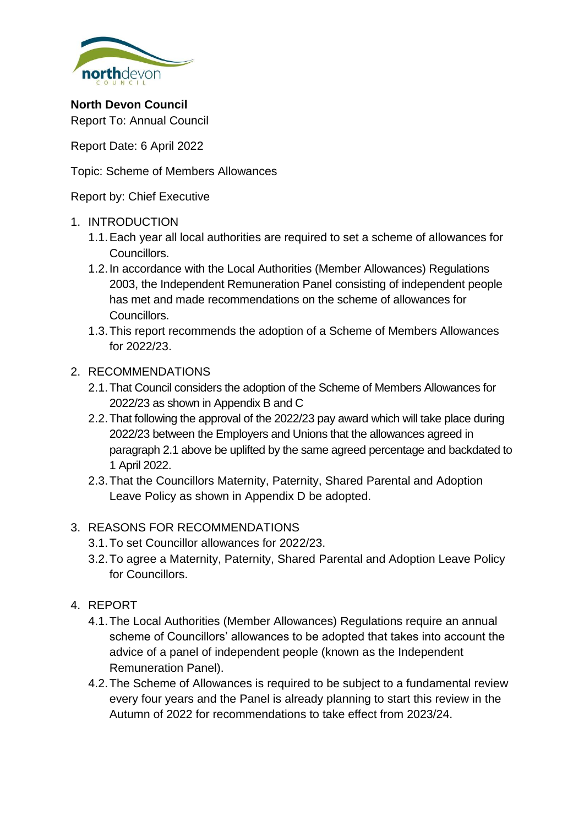

**North Devon Council** Report To: Annual Council

Report Date: 6 April 2022

Topic: Scheme of Members Allowances

Report by: Chief Executive

### 1. INTRODUCTION

- 1.1.Each year all local authorities are required to set a scheme of allowances for Councillors.
- 1.2.In accordance with the Local Authorities (Member Allowances) Regulations 2003, the Independent Remuneration Panel consisting of independent people has met and made recommendations on the scheme of allowances for Councillors.
- 1.3.This report recommends the adoption of a Scheme of Members Allowances for 2022/23.

### 2. RECOMMENDATIONS

- 2.1.That Council considers the adoption of the Scheme of Members Allowances for 2022/23 as shown in Appendix B and C
- 2.2.That following the approval of the 2022/23 pay award which will take place during 2022/23 between the Employers and Unions that the allowances agreed in paragraph 2.1 above be uplifted by the same agreed percentage and backdated to 1 April 2022.
- 2.3.That the Councillors Maternity, Paternity, Shared Parental and Adoption Leave Policy as shown in Appendix D be adopted.

## 3. REASONS FOR RECOMMENDATIONS

- 3.1.To set Councillor allowances for 2022/23.
- 3.2.To agree a Maternity, Paternity, Shared Parental and Adoption Leave Policy for Councillors.
- 4. REPORT
	- 4.1.The Local Authorities (Member Allowances) Regulations require an annual scheme of Councillors' allowances to be adopted that takes into account the advice of a panel of independent people (known as the Independent Remuneration Panel).
	- 4.2.The Scheme of Allowances is required to be subject to a fundamental review every four years and the Panel is already planning to start this review in the Autumn of 2022 for recommendations to take effect from 2023/24.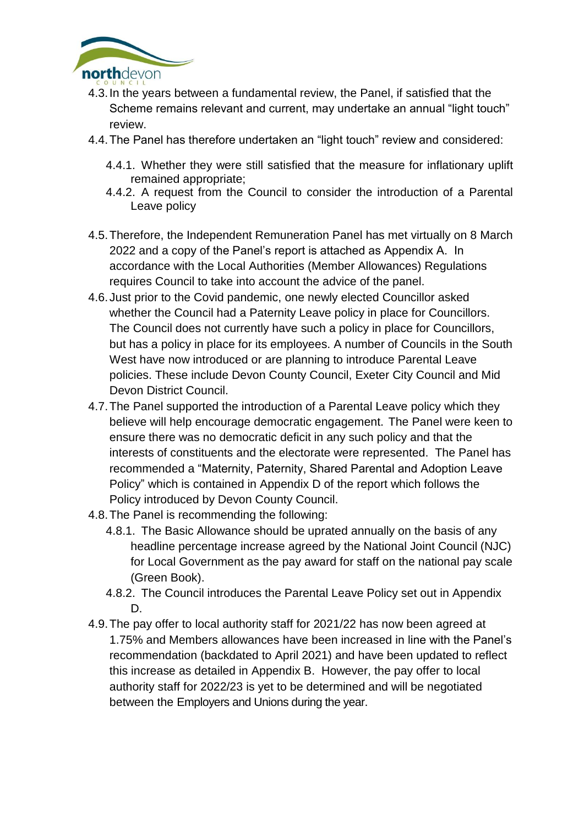

- 4.3.In the years between a fundamental review, the Panel, if satisfied that the Scheme remains relevant and current, may undertake an annual "light touch" review.
- 4.4.The Panel has therefore undertaken an "light touch" review and considered:
	- 4.4.1. Whether they were still satisfied that the measure for inflationary uplift remained appropriate;
	- 4.4.2. A request from the Council to consider the introduction of a Parental Leave policy
- 4.5.Therefore, the Independent Remuneration Panel has met virtually on 8 March 2022 and a copy of the Panel's report is attached as Appendix A. In accordance with the Local Authorities (Member Allowances) Regulations requires Council to take into account the advice of the panel.
- 4.6.Just prior to the Covid pandemic, one newly elected Councillor asked whether the Council had a Paternity Leave policy in place for Councillors. The Council does not currently have such a policy in place for Councillors, but has a policy in place for its employees. A number of Councils in the South West have now introduced or are planning to introduce Parental Leave policies. These include Devon County Council, Exeter City Council and Mid Devon District Council.
- 4.7.The Panel supported the introduction of a Parental Leave policy which they believe will help encourage democratic engagement. The Panel were keen to ensure there was no democratic deficit in any such policy and that the interests of constituents and the electorate were represented. The Panel has recommended a "Maternity, Paternity, Shared Parental and Adoption Leave Policy" which is contained in Appendix D of the report which follows the Policy introduced by Devon County Council.
- 4.8.The Panel is recommending the following:
	- 4.8.1. The Basic Allowance should be uprated annually on the basis of any headline percentage increase agreed by the National Joint Council (NJC) for Local Government as the pay award for staff on the national pay scale (Green Book).
	- 4.8.2. The Council introduces the Parental Leave Policy set out in Appendix D.
- 4.9.The pay offer to local authority staff for 2021/22 has now been agreed at 1.75% and Members allowances have been increased in line with the Panel's recommendation (backdated to April 2021) and have been updated to reflect this increase as detailed in Appendix B. However, the pay offer to local authority staff for 2022/23 is yet to be determined and will be negotiated between the Employers and Unions during the year.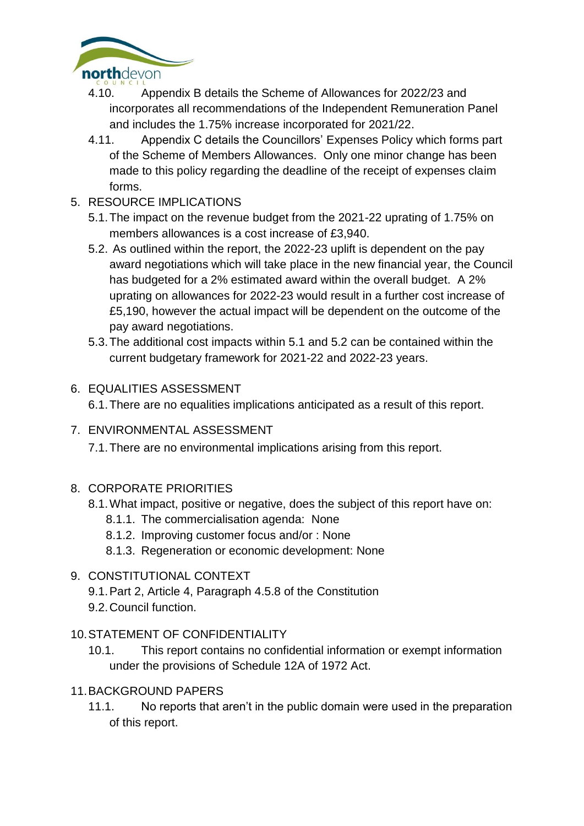

- 4.10. Appendix B details the Scheme of Allowances for 2022/23 and incorporates all recommendations of the Independent Remuneration Panel and includes the 1.75% increase incorporated for 2021/22.
- 4.11. Appendix C details the Councillors' Expenses Policy which forms part of the Scheme of Members Allowances. Only one minor change has been made to this policy regarding the deadline of the receipt of expenses claim forms.
- 5. RESOURCE IMPLICATIONS
	- 5.1.The impact on the revenue budget from the 2021-22 uprating of 1.75% on members allowances is a cost increase of £3,940.
	- 5.2. As outlined within the report, the 2022-23 uplift is dependent on the pay award negotiations which will take place in the new financial year, the Council has budgeted for a 2% estimated award within the overall budget. A 2% uprating on allowances for 2022-23 would result in a further cost increase of £5,190, however the actual impact will be dependent on the outcome of the pay award negotiations.
	- 5.3.The additional cost impacts within 5.1 and 5.2 can be contained within the current budgetary framework for 2021-22 and 2022-23 years.
- 6. EQUALITIES ASSESSMENT

6.1.There are no equalities implications anticipated as a result of this report.

7. ENVIRONMENTAL ASSESSMENT

7.1.There are no environmental implications arising from this report.

- 8. CORPORATE PRIORITIES
	- 8.1.What impact, positive or negative, does the subject of this report have on:
		- 8.1.1. The commercialisation agenda: None
		- 8.1.2. Improving customer focus and/or : None
		- 8.1.3. Regeneration or economic development: None

## 9. CONSTITUTIONAL CONTEXT

- 9.1.Part 2, Article 4, Paragraph 4.5.8 of the Constitution
- 9.2.Council function.
- 10.STATEMENT OF CONFIDENTIALITY
	- 10.1. This report contains no confidential information or exempt information under the provisions of Schedule 12A of 1972 Act.
- 11.BACKGROUND PAPERS
	- 11.1. No reports that aren't in the public domain were used in the preparation of this report.